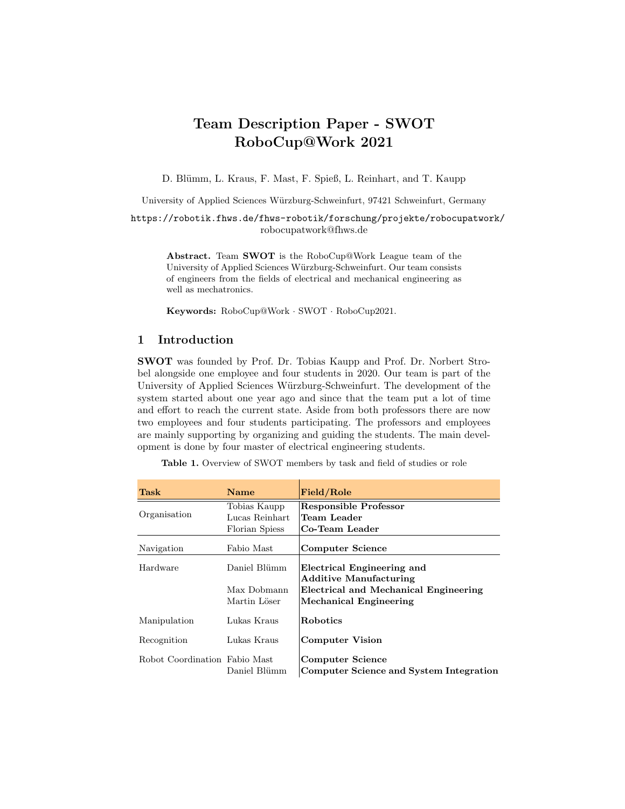# Team Description Paper - SWOT RoboCup@Work 2021

D. Blümm, L. Kraus, F. Mast, F. Spieß, L. Reinhart, and T. Kaupp

University of Applied Sciences Würzburg-Schweinfurt, 97421 Schweinfurt, Germany

<https://robotik.fhws.de/fhws-robotik/forschung/projekte/robocupatwork/> robocupatwork@fhws.de

Abstract. Team SWOT is the RoboCup@Work League team of the University of Applied Sciences W¨urzburg-Schweinfurt. Our team consists of engineers from the fields of electrical and mechanical engineering as well as mechatronics.

Keywords: RoboCup@Work · SWOT · RoboCup2021.

## 1 Introduction

SWOT was founded by Prof. Dr. Tobias Kaupp and Prof. Dr. Norbert Strobel alongside one employee and four students in 2020. Our team is part of the University of Applied Sciences Würzburg-Schweinfurt. The development of the system started about one year ago and since that the team put a lot of time and effort to reach the current state. Aside from both professors there are now two employees and four students participating. The professors and employees are mainly supporting by organizing and guiding the students. The main development is done by four master of electrical engineering students.

Table 1. Overview of SWOT members by task and field of studies or role

| Task               | Name           | Field/Role                                                  |
|--------------------|----------------|-------------------------------------------------------------|
| Organisation       | Tobias Kaupp   | <b>Responsible Professor</b>                                |
|                    | Lucas Reinhart | Team Leader                                                 |
|                    | Florian Spiess | Co-Team Leader                                              |
| Navigation         | Fabio Mast     | <b>Computer Science</b>                                     |
| Hardware           | Daniel Blümm   | Electrical Engineering and<br><b>Additive Manufacturing</b> |
|                    | Max Dobmann    | Electrical and Mechanical Engineering                       |
|                    | Martin Löser   | Mechanical Engineering                                      |
| Manipulation       | Lukas Kraus    | <b>Robotics</b>                                             |
| Recognition        | Lukas Kraus    | <b>Computer Vision</b>                                      |
| Robot Coordination | Fabio Mast     | <b>Computer Science</b>                                     |
|                    | Daniel Blümm   | Computer Science and System Integration                     |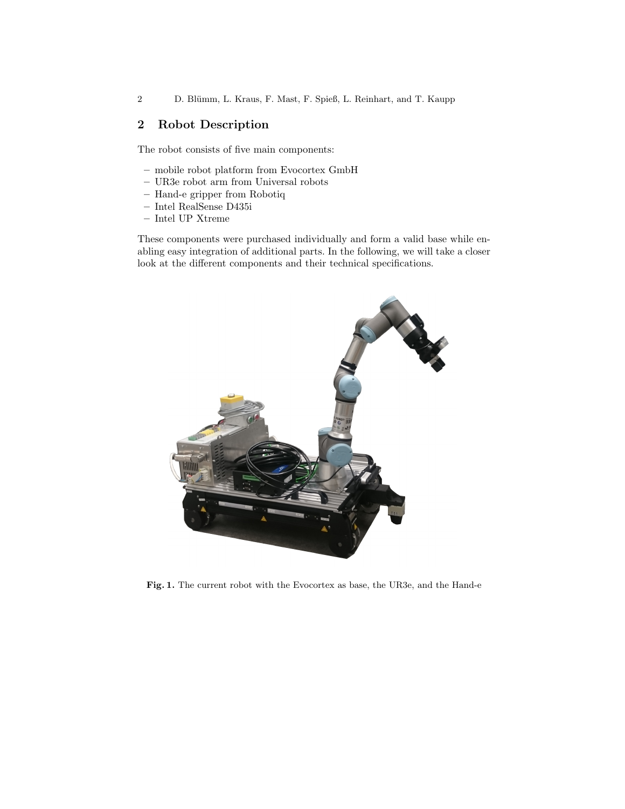2 D. Blümm, L. Kraus, F. Mast, F. Spieß, L. Reinhart, and T. Kaupp

# 2 Robot Description

The robot consists of five main components:

- mobile robot platform from Evocortex GmbH
- UR3e robot arm from Universal robots
- Hand-e gripper from Robotiq
- Intel RealSense D435i
- Intel UP Xtreme

These components were purchased individually and form a valid base while enabling easy integration of additional parts. In the following, we will take a closer look at the different components and their technical specifications.



Fig. 1. The current robot with the Evocortex as base, the UR3e, and the Hand-e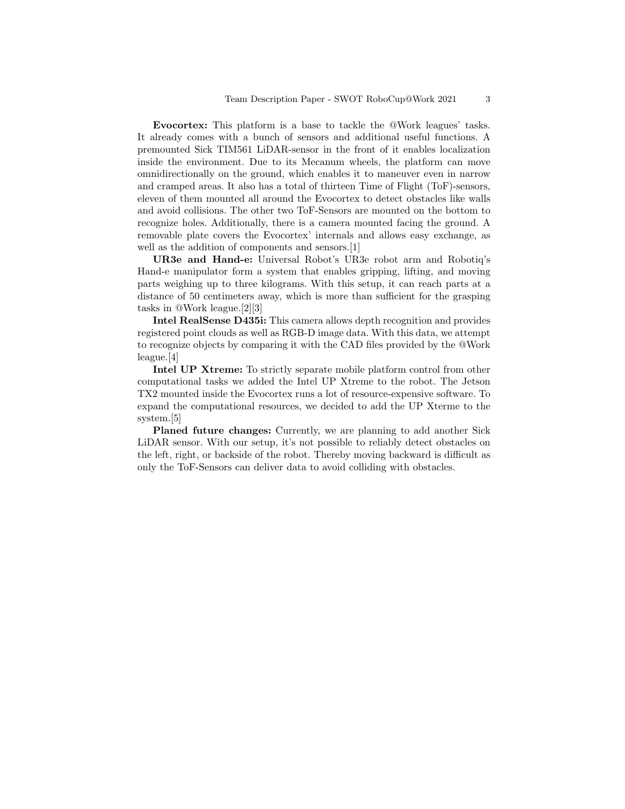Evocortex: This platform is a base to tackle the @Work leagues' tasks. It already comes with a bunch of sensors and additional useful functions. A premounted Sick TIM561 LiDAR-sensor in the front of it enables localization inside the environment. Due to its Mecanum wheels, the platform can move omnidirectionally on the ground, which enables it to maneuver even in narrow and cramped areas. It also has a total of thirteen Time of Flight (ToF)-sensors, eleven of them mounted all around the Evocortex to detect obstacles like walls and avoid collisions. The other two ToF-Sensors are mounted on the bottom to recognize holes. Additionally, there is a camera mounted facing the ground. A removable plate covers the Evocortex' internals and allows easy exchange, as well as the addition of components and sensors.[\[1\]](#page-6-0)

UR3e and Hand-e: Universal Robot's UR3e robot arm and Robotiq's Hand-e manipulator form a system that enables gripping, lifting, and moving parts weighing up to three kilograms. With this setup, it can reach parts at a distance of 50 centimeters away, which is more than sufficient for the grasping tasks in @Work league.[\[2\]](#page-6-1)[\[3\]](#page-6-2)

Intel RealSense D435i: This camera allows depth recognition and provides registered point clouds as well as RGB-D image data. With this data, we attempt to recognize objects by comparing it with the CAD files provided by the @Work league.[\[4\]](#page-6-3)

Intel UP Xtreme: To strictly separate mobile platform control from other computational tasks we added the Intel UP Xtreme to the robot. The Jetson TX2 mounted inside the Evocortex runs a lot of resource-expensive software. To expand the computational resources, we decided to add the UP Xterme to the system.[\[5\]](#page-6-4)

Planed future changes: Currently, we are planning to add another Sick LiDAR sensor. With our setup, it's not possible to reliably detect obstacles on the left, right, or backside of the robot. Thereby moving backward is difficult as only the ToF-Sensors can deliver data to avoid colliding with obstacles.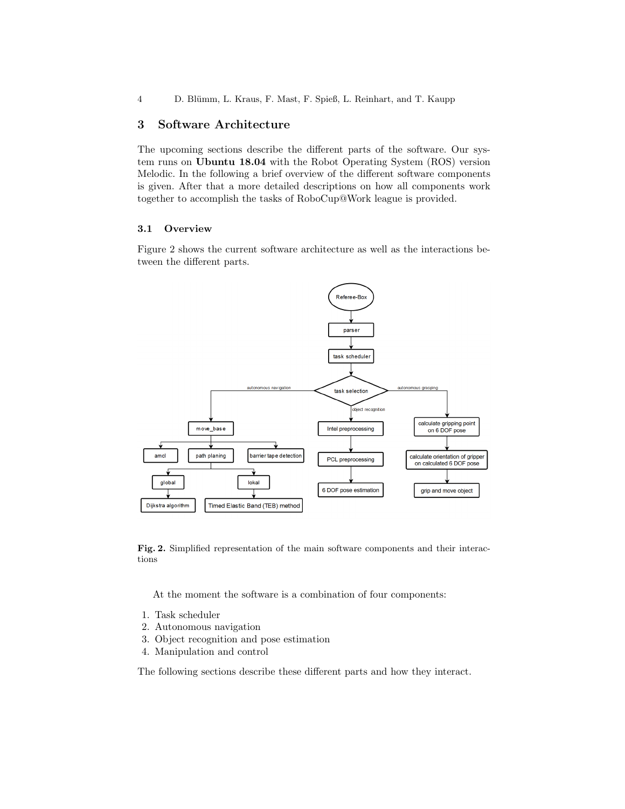4 D. Blümm, L. Kraus, F. Mast, F. Spieß, L. Reinhart, and T. Kaupp

# 3 Software Architecture

The upcoming sections describe the different parts of the software. Our system runs on Ubuntu 18.04 with the Robot Operating System (ROS) version Melodic. In the following a brief overview of the different software components is given. After that a more detailed descriptions on how all components work together to accomplish the tasks of RoboCup@Work league is provided.

#### 3.1 Overview

Figure [2](#page-3-0) shows the current software architecture as well as the interactions between the different parts.



Fig. 2. Simplified representation of the main software components and their interactions

<span id="page-3-0"></span>At the moment the software is a combination of four components:

- 1. Task scheduler
- 2. Autonomous navigation
- 3. Object recognition and pose estimation
- 4. Manipulation and control

The following sections describe these different parts and how they interact.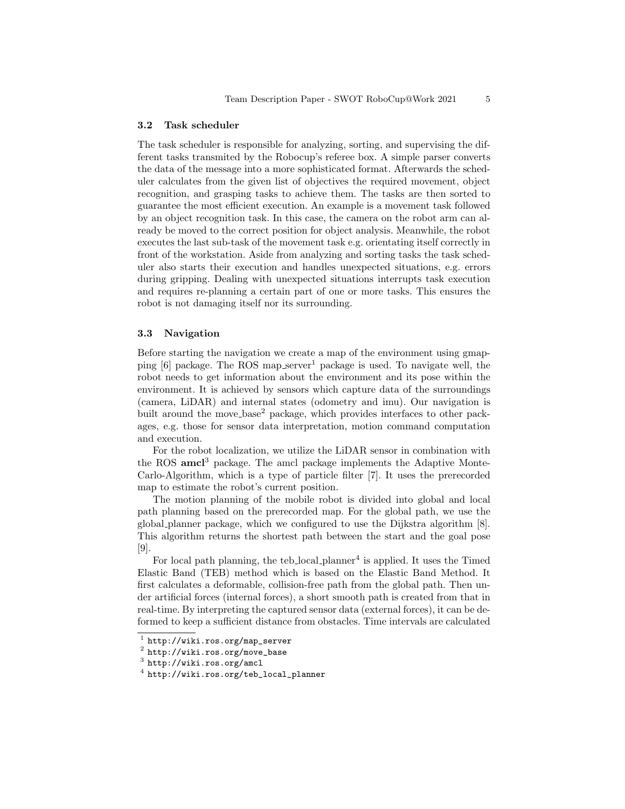#### 3.2 Task scheduler

The task scheduler is responsible for analyzing, sorting, and supervising the different tasks transmited by the Robocup's referee box. A simple parser converts the data of the message into a more sophisticated format. Afterwards the scheduler calculates from the given list of objectives the required movement, object recognition, and grasping tasks to achieve them. The tasks are then sorted to guarantee the most efficient execution. An example is a movement task followed by an object recognition task. In this case, the camera on the robot arm can already be moved to the correct position for object analysis. Meanwhile, the robot executes the last sub-task of the movement task e.g. orientating itself correctly in front of the workstation. Aside from analyzing and sorting tasks the task scheduler also starts their execution and handles unexpected situations, e.g. errors during gripping. Dealing with unexpected situations interrupts task execution and requires re-planning a certain part of one or more tasks. This ensures the robot is not damaging itself nor its surrounding.

#### 3.3 Navigation

Before starting the navigation we create a map of the environment using gmapping  $[6]$  package. The ROS map server<sup>[1](#page-4-0)</sup> package is used. To navigate well, the robot needs to get information about the environment and its pose within the environment. It is achieved by sensors which capture data of the surroundings (camera, LiDAR) and internal states (odometry and imu). Our navigation is built around the move<sub>-base</sub><sup>[2](#page-4-1)</sup> package, which provides interfaces to other packages, e.g. those for sensor data interpretation, motion command computation and execution.

For the robot localization, we utilize the LiDAR sensor in combination with the ROS  $\text{amcl}^3$  $\text{amcl}^3$  package. The amcl package implements the Adaptive Monte-Carlo-Algorithm, which is a type of particle filter [\[7\]](#page-6-6). It uses the prerecorded map to estimate the robot's current position.

The motion planning of the mobile robot is divided into global and local path planning based on the prerecorded map. For the global path, we use the global planner package, which we configured to use the Dijkstra algorithm [\[8\]](#page-6-7). This algorithm returns the shortest path between the start and the goal pose [\[9\]](#page-6-8).

For local path planning, the teb local planner<sup>[4](#page-4-3)</sup> is applied. It uses the Timed Elastic Band (TEB) method which is based on the Elastic Band Method. It first calculates a deformable, collision-free path from the global path. Then under artificial forces (internal forces), a short smooth path is created from that in real-time. By interpreting the captured sensor data (external forces), it can be deformed to keep a sufficient distance from obstacles. Time intervals are calculated

<span id="page-4-0"></span><sup>1</sup> [http://wiki.ros.org/map\\_server](http://wiki.ros.org/map_server)

<span id="page-4-1"></span> $^2$  [http://wiki.ros.org/move\\_base](http://wiki.ros.org/move_base)

<span id="page-4-2"></span> $^3$  <http://wiki.ros.org/amcl>

<span id="page-4-3"></span><sup>4</sup> [http://wiki.ros.org/teb\\_local\\_planner](http://wiki.ros.org/teb_local_planner)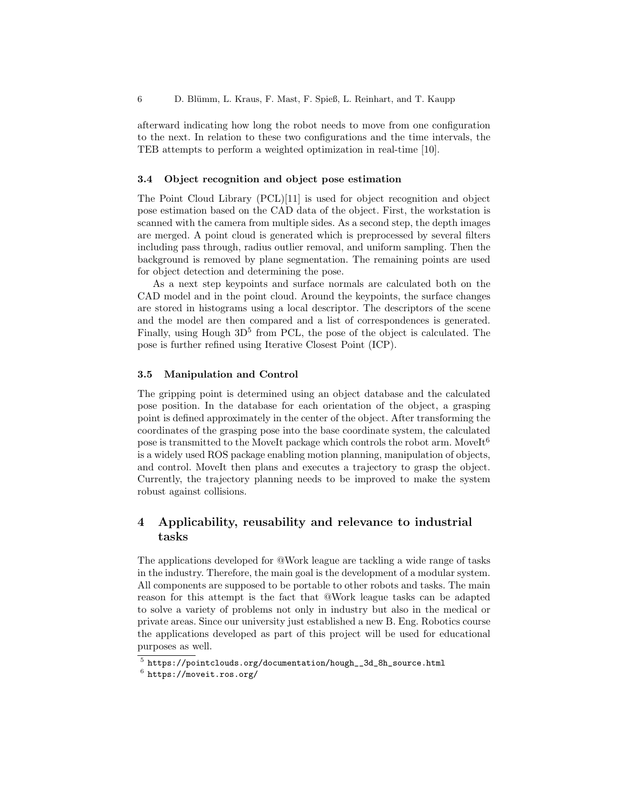afterward indicating how long the robot needs to move from one configuration to the next. In relation to these two configurations and the time intervals, the TEB attempts to perform a weighted optimization in real-time [\[10\]](#page-6-9).

#### 3.4 Object recognition and object pose estimation

The Point Cloud Library (PCL)[\[11\]](#page-6-10) is used for object recognition and object pose estimation based on the CAD data of the object. First, the workstation is scanned with the camera from multiple sides. As a second step, the depth images are merged. A point cloud is generated which is preprocessed by several filters including pass through, radius outlier removal, and uniform sampling. Then the background is removed by plane segmentation. The remaining points are used for object detection and determining the pose.

As a next step keypoints and surface normals are calculated both on the CAD model and in the point cloud. Around the keypoints, the surface changes are stored in histograms using a local descriptor. The descriptors of the scene and the model are then compared and a list of correspondences is generated. Finally, using Hough  $3D^5$  $3D^5$  from PCL, the pose of the object is calculated. The pose is further refined using Iterative Closest Point (ICP).

#### 3.5 Manipulation and Control

The gripping point is determined using an object database and the calculated pose position. In the database for each orientation of the object, a grasping point is defined approximately in the center of the object. After transforming the coordinates of the grasping pose into the base coordinate system, the calculated pose is transmitted to the MoveIt package which controls the robot arm. MoveIt<sup>[6](#page-5-1)</sup> is a widely used ROS package enabling motion planning, manipulation of objects, and control. MoveIt then plans and executes a trajectory to grasp the object. Currently, the trajectory planning needs to be improved to make the system robust against collisions.

# 4 Applicability, reusability and relevance to industrial tasks

The applications developed for @Work league are tackling a wide range of tasks in the industry. Therefore, the main goal is the development of a modular system. All components are supposed to be portable to other robots and tasks. The main reason for this attempt is the fact that @Work league tasks can be adapted to solve a variety of problems not only in industry but also in the medical or private areas. Since our university just established a new B. Eng. Robotics course the applications developed as part of this project will be used for educational purposes as well.

<span id="page-5-0"></span> $^5$  [https://pointclouds.org/documentation/hough\\_\\_3d\\_8h\\_source.html](https://pointclouds.org/documentation/hough__3d_8h_source.html)

<span id="page-5-1"></span> $^6$  <https://moveit.ros.org/>